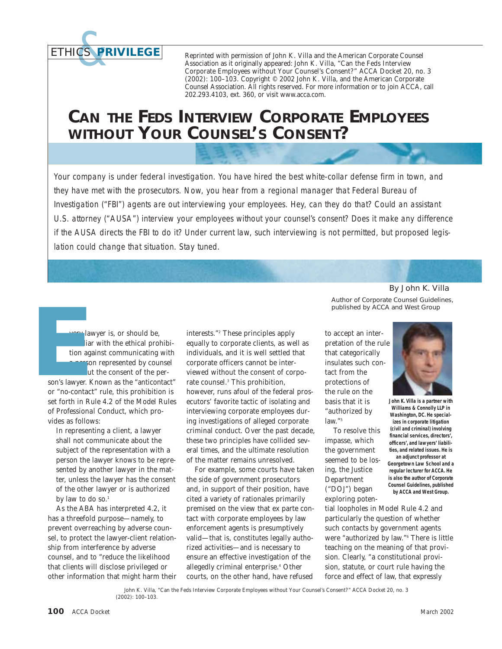*ETHICS &***PRIVILEGE**

Reprinted with permission of John K. Villa and the American Corporate Counsel Association as it originally appeared: John K. Villa, "Can the Feds Interview Corporate Employees without Your Counsel's Consent?" *ACCA Docket* 20, no. 3 (2002): 100–103. Copyright © 2002 John K. Villa, and the American Corporate Counsel Association. All rights reserved. For more information or to join ACCA, call 202.293.4103, ext. 360, or visit www.acca.com.

## **CAN THE FEDS INTERVIEW CORPORATE EMPLOYEES WITHOUT YOUR COUNSEL'S CONSENT?**

Your company is under federal investigation. You have hired the best white-collar defense firm in town, and they have met with the prosecutors. Now, you hear from a regional manager that Federal Bureau of Investigation ("FBI") agents are out interviewing your employees. Hey, can they do that? Could an assistant U.S. attorney ("AUSA") interview your employees without your counsel's consent? Does it make any difference if the AUSA directs the FBI to do it? Under current law, such interviewing is not permitted, but proposed legislation could change that situation. Stay tuned.

very lawyer is, or should be, familiar with the ethical prohibition against communicating with a person represented by counsel without the consent of the person's lawyer. Known as the "anticontact" or "no-contact" rule, this prohibition is set forth in Rule 4.2 of the *Model Rules of Professional Conduct*, which provides as follows: **E**

> In representing a client, a lawyer shall not communicate about the subject of the representation with a person the lawyer knows to be represented by another lawyer in the matter, unless the lawyer has the consent of the other lawyer or is authorized by law to do so.<sup>1</sup>

As the ABA has interpreted 4.2, it has a threefold purpose—namely, to prevent overreaching by adverse counsel, to protect the lawyer-client relationship from interference by adverse counsel, and to "reduce the likelihood that clients will disclose privileged or other information that might harm their interests."2 These principles apply equally to corporate clients, as well as individuals, and it is well settled that corporate officers cannot be interviewed without the consent of corporate counsel.3 This prohibition, however, runs afoul of the federal prosecutors' favorite tactic of isolating and interviewing corporate employees during investigations of alleged corporate criminal conduct. Over the past decade, these two principles have collided several times, and the ultimate resolution of the matter remains unresolved.

For example, some courts have taken the side of government prosecutors and, in support of their position, have cited a variety of rationales primarily premised on the view that ex parte contact with corporate employees by law enforcement agents is presumptively valid—that is, constitutes legally authorized activities—and is necessary to ensure an effective investigation of the allegedly criminal enterprise.<sup>4</sup> Other courts, on the other hand, have refused

By John K. Villa Author of *Corporate Counsel Guidelines*, published by ACCA and West Group

to accept an interpretation of the rule that categorically insulates such contact from the protections of the rule on the basis that it is "authorized by law."<sup>5</sup>

To resolve this impasse, which the government seemed to be losing, the Justice Department ("DOJ") began exploring poten-

tial loopholes in Model Rule 4.2 and particularly the question of whether such contacts by government agents were "authorized by law."6 There is little teaching on the meaning of that provision. Clearly, "a constitutional provision, statute, or court rule having the force and effect of law, that expressly





**John K. Villa is a partner with Williams & Connolly LLP in Washington, DC. He specializes in corporate litigation (civil and criminal) involving financial services, directors', officers', and lawyers' liabilities, and related issues. He is**

**an adjunct professor at Georgetown Law School and a regular lecturer for ACCA. He is also the author of** *Corporate Counsel Guidelines***, published by ACCA and West Group.**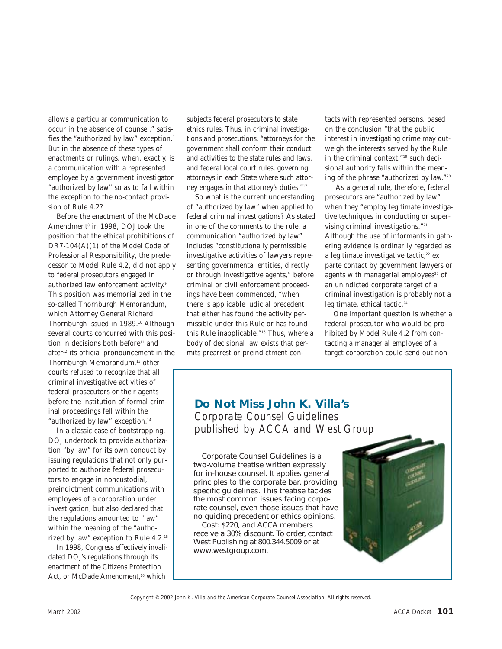allows a particular communication to occur in the absence of counsel," satisfies the "authorized by law" exception.7 But in the absence of these types of enactments or rulings, when, exactly, is a communication with a represented employee by a government investigator "authorized by law" so as to fall within the exception to the no-contact provision of Rule 4.2?

Before the enactment of the McDade Amendment<sup>8</sup> in 1998, DOJ took the position that the ethical prohibitions of DR7-104(A)(1) of the *Model Code of Professional Responsibility*, the predecessor to *Model Rule* 4.2, did not apply to federal prosecutors engaged in authorized law enforcement activity.<sup>9</sup> This position was memorialized in the so-called Thornburgh Memorandum, which Attorney General Richard Thornburgh issued in 1989.<sup>10</sup> Although several courts concurred with this position in decisions both before<sup>11</sup> and after<sup>12</sup> its official pronouncement in the Thornburgh Memorandum,<sup>13</sup> other courts refused to recognize that all criminal investigative activities of federal prosecutors or their agents before the institution of formal criminal proceedings fell within the "authorized by law" exception.<sup>14</sup>

In a classic case of bootstrapping, DOJ undertook to provide authorization "by law" for its own conduct by issuing regulations that not only purported to authorize federal prosecutors to engage in noncustodial, preindictment communications with employees of a corporation under investigation, but also declared that the regulations amounted to "law" within the meaning of the "authorized by law" exception to Rule 4.2.15

In 1998, Congress effectively invalidated DOJ's regulations through its enactment of the Citizens Protection Act, or McDade Amendment,<sup>16</sup> which

subjects federal prosecutors to state ethics rules. Thus, in criminal investigations and prosecutions, "attorneys for the government shall conform their conduct and activities to the state rules and laws, and federal local court rules, governing attorneys in each State where such attorney engages in that attorney's duties."17

So what is the current understanding of "authorized by law" when applied to federal criminal investigations? As stated in one of the comments to the rule, a communication "authorized by law" includes "constitutionally permissible investigative activities of lawyers representing governmental entities, directly or through investigative agents," before criminal or civil enforcement proceedings have been commenced, "*when* there is applicable judicial precedent that either has found the activity permissible under this Rule or has found this Rule inapplicable."18 Thus, where a body of decisional law exists that permits prearrest or preindictment contacts with represented persons, based on the conclusion "that the public interest in investigating crime may outweigh the interests served by the Rule in the criminal context,"19 such decisional authority falls within the meaning of the phrase "authorized by law."20

As a general rule, therefore, federal prosecutors are "authorized by law" when they "employ legitimate investigative techniques in conducting or supervising criminal investigations."21 Although the use of informants in gathering evidence is ordinarily regarded as a legitimate investigative tactic,<sup>22</sup> ex parte contact by government lawyers or agents with managerial employees<sup>23</sup> of an unindicted corporate target of a criminal investigation is probably not a legitimate, ethical tactic.<sup>24</sup>

One important question is whether a federal prosecutor who would be prohibited by Model Rule 4.2 from contacting a managerial employee of a target corporation could send out non-

## **Do Not Miss John K. Villa's** *Corporate Counsel Guidelines* published by ACCA and West Group

*Corporate Counsel Guidelines* is a two-volume treatise written expressly for in-house counsel. It applies general principles to the corporate bar, providing specific guidelines. This treatise tackles the most common issues facing corporate counsel, even those issues that have no guiding precedent or ethics opinions.

Cost: \$220, and ACCA members receive a 30% discount. To order, contact West Publishing at 800.344.5009 or at www.westgroup.com.



*Copyright © 2002 John K. Villa and the American Corporate Counsel Association. All rights reserved.*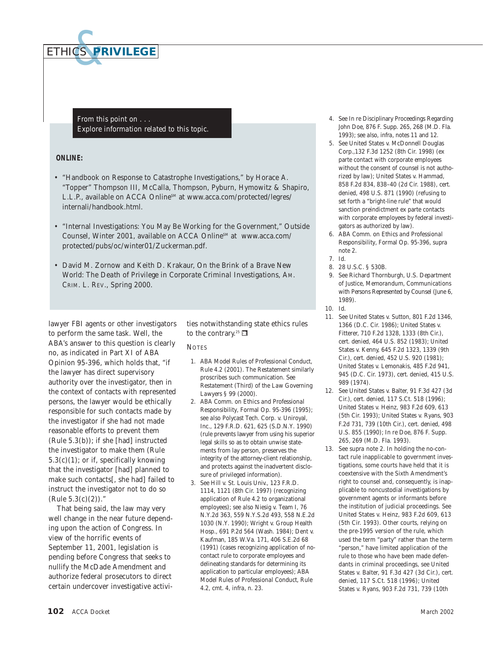

*From this point on . . . Explore information related to this topic.*

## **ONLINE:**

- "Handbook on Response to Catastrophe Investigations," by Horace A. "Topper" Thompson III, McCalla, Thompson, Pyburn, Hymowitz & Shapiro, L.L.P., available on ACCA Online<sup>SM</sup> at www.acca.com/protected/legres/ internali/handbook.html.
- "Internal Investigations: You May Be Working for the Government," *Outside Counsel*, Winter 2001, available on ACCA Online<sup>SM</sup> at www.acca.com/ protected/pubs/oc/winter01/Zuckerman.pdf.
- David M. Zornow and Keith D. Krakaur, *On the Brink of a Brave New World: The Death of Privilege in Corporate Criminal Investigations*, AM. CRIM. L. REV., Spring 2000.

lawyer FBI agents or other investigators to perform the same task. Well, the ABA's answer to this question is clearly no, as indicated in Part XI of ABA Opinion 95-396, which holds that, "if the lawyer has direct supervisory authority over the investigator, then in the context of contacts with represented persons, the lawyer would be ethically responsible for such contacts made by the investigator if she had not made reasonable efforts to prevent them (Rule 5.3(b)); if she [had] instructed the investigator to make them (Rule  $5.3(c)(1)$ ; or if, specifically knowing that the investigator [had] planned to make such contacts[, she had] failed to instruct the investigator not to do so  $(Rule 5.3(c)(2))."$ 

That being said, the law may very well change in the near future depending upon the action of Congress. In view of the horrific events of September 11, 2001, legislation is pending before Congress that seeks to nullify the McDade Amendment and authorize federal prosecutors to direct certain undercover investigative activities notwithstanding state ethics rules to the contrary.<sup>25</sup>

## **NOTES**

- 1. *ABA Model Rules of Professional Conduct*, Rule 4.2 (2001). The *Restatement* similarly proscribes such communication. *See Restatement (Third) of the Law Governing Lawyers* § 99 (2000).
- 2. *ABA Comm. on Ethics and Professional Responsibility*, Formal Op. 95-396 (1995); *see also* Polycast Tech. Corp. v. Uniroyal, Inc., 129 F.R.D. 621, 625 (S.D.N.Y. 1990) (rule prevents lawyer from using his superior legal skills so as to obtain unwise statements from lay person, preserves the integrity of the attorney-client relationship, and protects against the inadvertent disclosure of privileged information).
- 3. *See* Hill v. St. Louis Univ., 123 F.R.D. 1114, 1121 (8th Cir. 1997) (recognizing application of Rule 4.2 to organizational employees); *see also* Niesig v. Team I, 76 N.Y.2d 363, 559 N.Y.S.2d 493, 558 N.E.2d 1030 (N.Y. 1990); Wright v. Group Health Hosp., 691 P.2d 564 (Wash. 1984); Dent v. Kaufman, 185 W.Va. 171, 406 S.E.2d 68 (1991) (cases recognizing application of nocontact rule to corporate employees and delineating standards for determining its application to particular employees); *ABA Model Rules of Professional Conduct*, Rule 4.2, cmt. 4, *infra*, n. 23.
- 4. *See* In re Disciplinary Proceedings Regarding John Doe, 876 F. Supp. 265, 268 (M.D. Fla. 1993); *see also*, *infra*, notes 11 and 12.
- 5. *See* United States v. McDonnell Douglas Corp.,132 F.3d 1252 (8th Cir. 1998) (ex parte contact with corporate employees without the consent of counsel is not authorized by law); United States v. Hammad, 858 F.2d 834, 838–40 (2d Cir. 1988), *cert. denied*, 498 U.S. 871 (1990) (refusing to set forth a "bright-line rule" that would sanction preindictment ex parte contacts with corporate employees by federal investigators as authorized by law).
- 6. *ABA Comm. on Ethics and Professional Responsibility*, Formal Op. 95-396, *supra* note *2*.
- 7. *Id*.
- 8. 28 U.S.C. § 530B.
- 9. *See* Richard Thornburgh, U.S. Department of Justice, *Memorandum, Communications with Persons Represented by Counsel* (June 6, 1989).
- 10. *Id*.
- 11. *See* United States v. Sutton, 801 F.2d 1346, 1366 (D.C. Cir. 1986); United States v. Fitterer, 710 F.2d 1328, 1333 (8th Cir.), *cert. denied*, 464 U.S. 852 (1983); United States v. Kenny, 645 F.2d 1323, 1339 (9th Cir.), *cert. denied*, 452 U.S. 920 (1981); United States v. Lemonakis, 485 F.2d 941, 945 (D.C. Cir. 1973), *cert. denied*, 415 U.S. 989 (1974).
- 12. *See* United States v. Balter, 91 F.3d 427 (3d Cir.), *cert. denied*, 117 S.Ct. 518 (1996); United States v. Heinz, 983 F.2d 609, 613 (5th Cir. 1993); United States v. Ryans, 903 F.2d 731, 739 (10th Cir.), *cert. denied*, 498 U.S. 855 (1990); In re Doe, 876 F. Supp. 265, 269 (M.D. Fla. 1993).
- 13. *See supra* note 2. In holding the no-contact rule inapplicable to government investigations, some courts have held that it is coextensive with the Sixth Amendment's right to counsel and, consequently, is inapplicable to noncustodial investigations by government agents or informants before the institution of judicial proceedings. *See* United States v. Heinz, 983 F.2d 609, 613 (5th Cir. 1993). Other courts, relying on the pre-1995 version of the rule, which used the term "party" rather than the term "person," have limited application of the rule to those who have been made defendants in criminal proceedings, *see* United States v. Balter, 91 F.3d 427 (3d Cir.), *cert. denied*, 117 S.Ct. 518 (1996); United States v. Ryans, 903 F.2d 731, 739 (10th